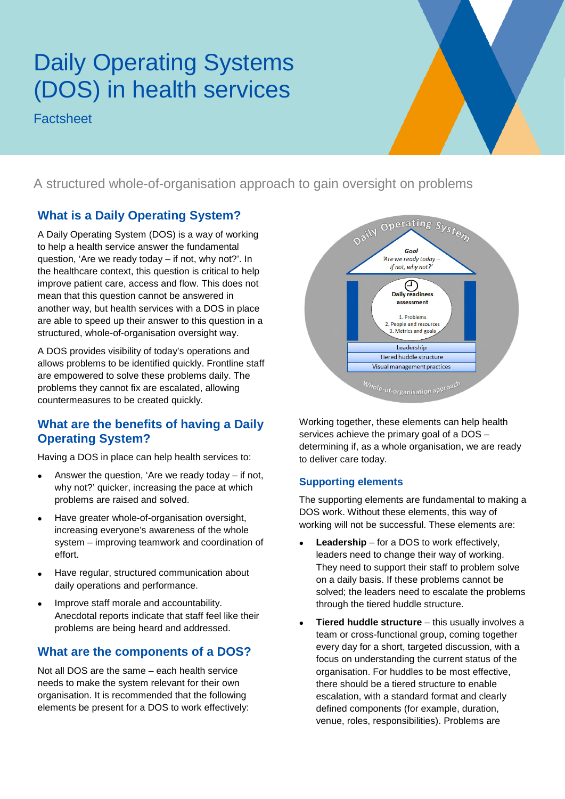# Daily Operating Systems (DOS) in health services

**Factsheet** 

A structured whole-of-organisation approach to gain oversight on problems

## **What is a Daily Operating System?**

A Daily Operating System (DOS) is a way of working to help a health service answer the fundamental question, 'Are we ready today – if not, why not?'. In the healthcare context, this question is critical to help improve patient care, access and flow. This does not mean that this question cannot be answered in another way, but health services with a DOS in place are able to speed up their answer to this question in a structured, whole-of-organisation oversight way.

A DOS provides visibility of today's operations and allows problems to be identified quickly. Frontline staff are empowered to solve these problems daily. The problems they cannot fix are escalated, allowing countermeasures to be created quickly.

## **What are the benefits of having a Daily Operating System?**

Having a DOS in place can help health services to:

- Answer the question, 'Are we ready today  $-$  if not, why not?' quicker, increasing the pace at which problems are raised and solved.
- Have greater whole-of-organisation oversight, increasing everyone's awareness of the whole system – improving teamwork and coordination of effort.
- Have regular, structured communication about daily operations and performance.
- Improve staff morale and accountability. Anecdotal reports indicate that staff feel like their problems are being heard and addressed.

## **What are the components of a DOS?**

Not all DOS are the same – each health service needs to make the system relevant for their own organisation. It is recommended that the following elements be present for a DOS to work effectively:



Working together, these elements can help health services achieve the primary goal of a DOS – determining if, as a whole organisation, we are ready to deliver care today.

#### **Supporting elements**

The supporting elements are fundamental to making a DOS work. Without these elements, this way of working will not be successful. These elements are:

- **Leadership** for a DOS to work effectively, leaders need to change their way of working. They need to support their staff to problem solve on a daily basis. If these problems cannot be solved; the leaders need to escalate the problems through the tiered huddle structure.
- **Tiered huddle structure** this usually involves a team or cross-functional group, coming together every day for a short, targeted discussion, with a focus on understanding the current status of the organisation. For huddles to be most effective, there should be a tiered structure to enable escalation, with a standard format and clearly defined components (for example, duration, venue, roles, responsibilities). Problems are